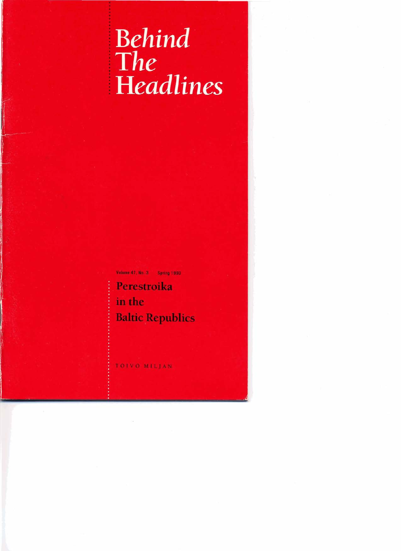# Behind<br>The <sup>i</sup>**Headlines**

Volume 47, No. 3 Spring 1990

<sup>i</sup>**Perestroika**  <sup>i</sup>**in the Baltic Republics** 

TOIVO MILIAN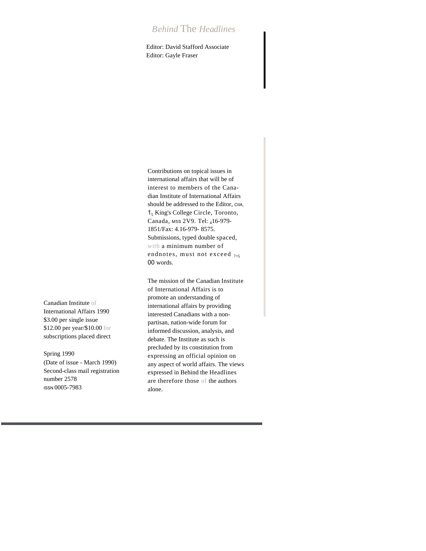## *Behind* The *Headlines*

Editor: David Stafford Associate Editor: Gayle Fraser

Contributions on topical issues in international affairs that will be of interest to members of the Canadian Institute of International Affairs should be addressed to the Editor, CIIA. 1<sup>5</sup> King's College Circle, Toronto, Canada, M5S 2V9. Tel: 416-979- 1851/Fax: 4.16-979- 8575. Submissions, typed double spaced, with a minimum number of endnotes, must not exceed <sub>7,5</sub> 00 words.

The mission of the Canadian Institute of International Affairs is to promote an understanding of international affairs by providing interested Canadians with a nonpartisan, nation-wide forum for informed discussion, analysis, and debate. The Institute as such is precluded by its constitution from expressing an official opinion on any aspect of world affairs. The views expressed in Behind the Headlines are therefore those of the authors alone.

Canadian Institute of International Affairs 1990 \$3.00 per single issue \$12.00 per year/\$10.00 for subscriptions placed direct

Spring 1990 (Date of issue - March 1990) Second-class mail registration number 2578 ISSN 0005-7983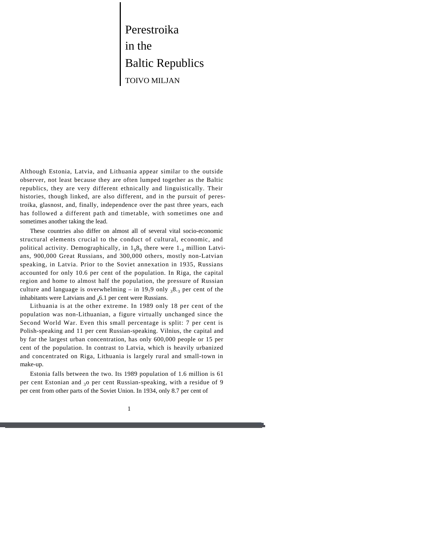Perestroika in the Baltic Republics TOIVO MILJAN

Although Estonia, Latvia, and Lithuania appear similar to the outside observer, not least because they are often lumped together as the Baltic republics, they are very different ethnically and linguistically. Their histories, though linked, are also different, and in the pursuit of perestroika, glasnost, and, finally, independence over the past three years, each has followed a different path and timetable, with sometimes one and sometimes another taking the lead.

These countries also differ on almost all of several vital socio-economic structural elements crucial to the conduct of cultural, economic, and political activity. Demographically, in  $1_98_9$  there were  $1_{.4}$  million Latvians, 900,000 Great Russians, and 300,000 others, mostly non-Latvian speaking, in Latvia. Prior to the Soviet annexation in 1935, Russians accounted for only 10.6 per cent of the population. In Riga, the capital region and home to almost half the population, the pressure of Russian culture and language is overwhelming – in 19<sub>7</sub>9 only  $38.3$  per cent of the inhabitants were Latvians and  $_4$ 6.1 per cent were Russians.

Lithuania is at the other extreme. In 1989 only 18 per cent of the population was non-Lithuanian, a figure virtually unchanged since the Second World War. Even this small percentage is split: 7 per cent is Polish-speaking and 11 per cent Russian-speaking. Vilnius, the capital and by far the largest urban concentration, has only 600,000 people or 15 per cent of the population. In contrast to Latvia, which is heavily urbanized and concentrated on Riga, Lithuania is largely rural and small-town in make-up.

Estonia falls between the two. Its 1989 population of 1.6 million is 61 per cent Estonian and  $30$  per cent Russian-speaking, with a residue of 9 per cent from other parts of the Soviet Union. In 1934, only 8.7 per cent of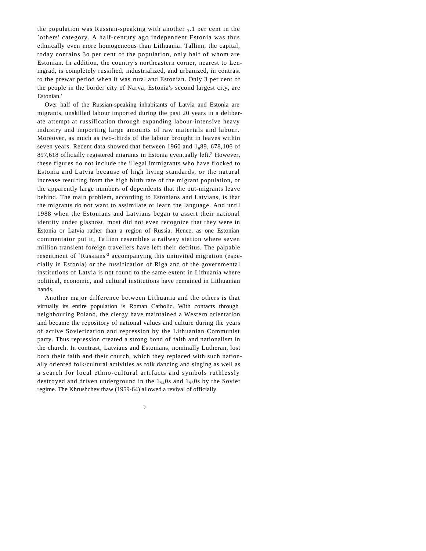the population was Russian-speaking with another  $_3.1$  per cent in the `others' category. A half-century ago independent Estonia was thus ethnically even more homogeneous than Lithuania. Tallinn, the capital, today contains 3o per cent of the population, only half of whom are Estonian. In addition, the country's northeastern corner, nearest to Leningrad, is completely russified, industrialized, and urbanized, in contrast to the prewar period when it was rural and Estonian. Only 3 per cent of the people in the border city of Narva, Estonia's second largest city, are Estonian.'

Over half of the Russian-speaking inhabitants of Latvia and Estonia are migrants, unskilled labour imported during the past 20 years in a deliberate attempt at russification through expanding labour-intensive heavy industry and importing large amounts of raw materials and labour. Moreover, as much as two-thirds of the labour brought in leaves within seven years. Recent data showed that between 1960 and  $1<sub>0</sub>89$ , 678,106 of 897,618 officially registered migrants in Estonia eventually left.<sup>2</sup> However, these figures do not include the illegal immigrants who have flocked to Estonia and Latvia because of high living standards, or the natural increase resulting from the high birth rate of the migrant population, or the apparently large numbers of dependents that the out-migrants leave behind. The main problem, according to Estonians and Latvians, is that the migrants do not want to assimilate or learn the language. And until 1988 when the Estonians and Latvians began to assert their national identity under glasnost, most did not even recognize that they were in Estonia or Latvia rather than a region of Russia. Hence, as one Estonian commentator put it, Tallinn resembles a railway station where seven million transient foreign travellers have left their detritus. The palpable resentment of `Russians'<sup>3</sup> accompanying this uninvited migration (especially in Estonia) or the russification of Riga and of the governmental institutions of Latvia is not found to the same extent in Lithuania where political, economic, and cultural institutions have remained in Lithuanian hands.

Another major difference between Lithuania and the others is that virtually its entire population is Roman Catholic. With contacts through neighbouring Poland, the clergy have maintained a Western orientation and became the repository of national values and culture during the years of active Sovietization and repression by the Lithuanian Communist party. Thus repression created a strong bond of faith and nationalism in the church. In contrast, Latvians and Estonians, nominally Lutheran, lost both their faith and their church, which they replaced with such nationally oriented folk/cultural activities as folk dancing and singing as well as a search for local ethno-cultural artifacts and symbols ruthlessly destroyed and driven underground in the  $1_{94}$ Os and  $1_{95}$ Os by the Soviet regime. The Khrushchev thaw (1959-64) allowed a revival of officially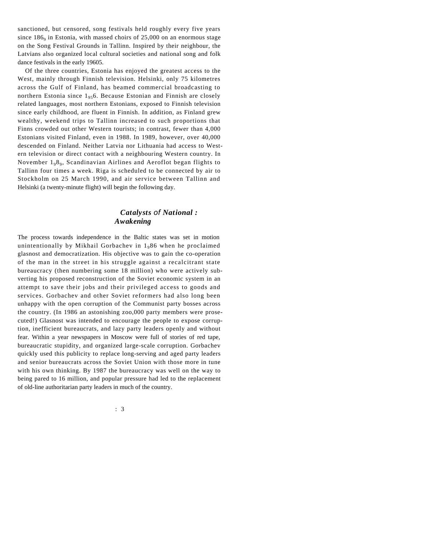sanctioned, but censored, song festivals held roughly every five years since  $186<sub>9</sub>$  in Estonia, with massed choirs of 25,000 on an enormous stage on the Song Festival Grounds in Tallinn. Inspired by their neighbour, the Latvians also organized local cultural societies and national song and folk dance festivals in the early 19605.

Of the three countries, Estonia has enjoyed the greatest access to the West, mainly through Finnish television. Helsinki, only 75 kilometres across the Gulf of Finland, has beamed commercial broadcasting to northern Estonia since  $1_{95}$ 6. Because Estonian and Finnish are closely related languages, most northern Estonians, exposed to Finnish television since early childhood, are fluent in Finnish. In addition, as Finland grew wealthy, weekend trips to Tallinn increased to such proportions that Finns crowded out other Western tourists; in contrast, fewer than 4,000 Estonians visited Finland, even in 1988. In 1989, however, over 40,000 descended on Finland. Neither Latvia nor Lithuania had access to Western television or direct contact with a neighbouring Western country. In November 198<sup>9</sup> , Scandinavian Airlines and Aeroflot began flights to Tallinn four times a week. Riga is scheduled to be connected by air to Stockholm on 25 March 1990, and air service between Tallinn and Helsinki (a twenty-minute flight) will begin the following day.

#### *Catalysts of National : Awakening*

The process towards independence in the Baltic states was set in motion unintentionally by Mikhail Gorbachev in  $1<sub>9</sub>86$  when he proclaimed glasnost and democratization. His objective was to gain the co-operation of the man in the street in his struggle against a recalcitrant state bureaucracy (then numbering some 18 million) who were actively subverting his proposed reconstruction of the Soviet economic system in an attempt to save their jobs and their privileged access to goods and services. Gorbachev and other Soviet reformers had also long been unhappy with the open corruption of the Communist party bosses across the country. (In 1986 an astonishing zoo,000 party members were prosecuted!) Glasnost was intended to encourage the people to expose corruption, inefficient bureaucrats, and lazy party leaders openly and without fear. Within a year newspapers in Moscow were full of stories of red tape, bureaucratic stupidity, and organized large-scale corruption. Gorbachev quickly used this publicity to replace long-serving and aged party leaders and senior bureaucrats across the Soviet Union with those more in tune with his own thinking. By 1987 the bureaucracy was well on the way to being pared to 16 million, and popular pressure had led to the replacement of old-line authoritarian party leaders in much of the country.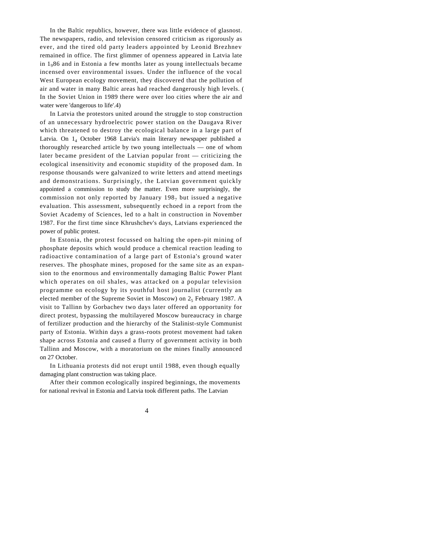In the Baltic republics, however, there was little evidence of glasnost. The newspapers, radio, and television censored criticism as rigorously as ever, and the tired old party leaders appointed by Leonid Brezhnev remained in office. The first glimmer of openness appeared in Latvia late in  $1<sub>0</sub>86$  and in Estonia a few months later as young intellectuals became incensed over environmental issues. Under the influence of the vocal West European ecology movement, they discovered that the pollution of air and water in many Baltic areas had reached dangerously high levels. ( In the Soviet Union in 1989 there were over loo cities where the air and water were 'dangerous to life'.4)

In Latvia the protestors united around the struggle to stop construction of an unnecessary hydroelectric power station on the Daugava River which threatened to destroy the ecological balance in a large part of Latvia. On  $1_4$  October 1968 Latvia's main literary newspaper published a thoroughly researched article by two young intellectuals — one of whom later became president of the Latvian popular front — criticizing the ecological insensitivity and economic stupidity of the proposed dam. In response thousands were galvanized to write letters and attend meetings and demonstrations. Surprisingly, the Latvian government quickly appointed a commission to study the matter. Even more surprisingly, the commission not only reported by January  $198<sub>7</sub>$  but issued a negative evaluation. This assessment, subsequently echoed in a report from the Soviet Academy of Sciences, led to a halt in construction in November 1987. For the first time since Khrushchev's days, Latvians experienced the power of public protest.

In Estonia, the protest focussed on halting the open-pit mining of phosphate deposits which would produce a chemical reaction leading to radioactive contamination of a large part of Estonia's ground water reserves. The phosphate mines, proposed for the same site as an expansion to the enormous and environmentally damaging Baltic Power Plant which operates on oil shales, was attacked on a popular television programme on ecology by its youthful host journalist (currently an elected member of the Supreme Soviet in Moscow) on  $2<sub>5</sub>$  February 1987. A visit to Tallinn by Gorbachev two days later offered an opportunity for direct protest, bypassing the multilayered Moscow bureaucracy in charge of fertilizer production and the hierarchy of the Stalinist-style Communist party of Estonia. Within days a grass-roots protest movement had taken shape across Estonia and caused a flurry of government activity in both Tallinn and Moscow, with a moratorium on the mines finally announced on 27 October.

In Lithuania protests did not erupt until 1988, even though equally damaging plant construction was taking place.

After their common ecologically inspired beginnings, the movements for national revival in Estonia and Latvia took different paths. The Latvian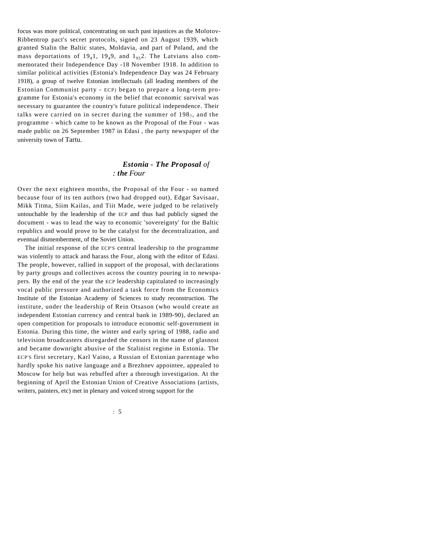focus was more political, concentrating on such past injustices as the Molotov-Ribbentrop pact's secret protocols, signed on 23 August 1939, which granted Stalin the Baltic states, Moldavia, and part of Poland, and the mass deportations of  $19_41$ ,  $19_49$ , and  $1_{95}2$ . The Latvians also commemorated their Independence Day -18 November 1918. In addition to similar political activities (Estonia's Independence Day was 24 February 1918), a group of twelve Estonian intellectuals (all leading members of the Estonian Communist party - ECP) began to prepare a long-term programme for Estonia's economy in the belief that economic survival was necessary to guarantee the country's future political independence. Their talks were carried on in secret during the summer of  $198<sub>7</sub>$ , and the programme - which came to be known as the Proposal of the Four - was made public on 26 September 1987 in Edasi , the party newspaper of the university town of Tartu.

#### *Estonia - The Proposal of : the Four*

Over the next eighteen months, the Proposal of the Four - so named because four of its ten authors (two had dropped out), Edgar Savisaar, Mikk Titma, Siim Kailas, and Tiit Made, were judged to be relatively untouchable by the leadership of the ECP and thus had publicly signed the document - was to lead the way to economic 'sovereignty' for the Baltic republics and would prove to be the catalyst for the decentralization, and eventual dismemberment, of the Soviet Union.

The initial response of the ECP'S central leadership to the programme was violently to attack and harass the Four, along with the editor of Edasi. The people, however, rallied in support of the proposal, with declarations by party groups and collectives across the country pouring in to newspapers. By the end of the year the ECP leadership capitulated to increasingly vocal public pressure and authorized a task force from the Economics Institute of the Estonian Academy of Sciences to study reconstruction. The institute, under the leadership of Rein Otsason (who would create an independent Estonian currency and central bank in 1989-90), declared an open competition for proposals to introduce economic self-government in Estonia. During this time, the winter and early spring of 1988, radio and television broadcasters disregarded the censors in the name of glasnost and became downright abusive of the Stalinist regime in Estonia. The ECP'S first secretary, Karl Vaino, a Russian of Estonian parentage who hardly spoke his native language and a Brezhnev appointee, appealed to Moscow for help but was rebuffed after a thorough investigation. At the beginning of April the Estonian Union of Creative Associations (artists, writers, painters, etc) met in plenary and voiced strong support for the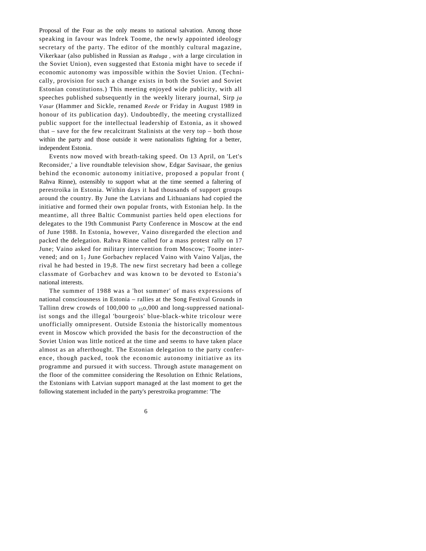Proposal of the Four as the only means to national salvation. Among those speaking in favour was lndrek Toome, the newly appointed ideology secretary of the party. The editor of the monthly cultural magazine, Vikerkaar (also published in Russian as *Raduga , with* a large circulation in the Soviet Union), even suggested that Estonia might have to secede if economic autonomy was impossible within the Soviet Union. (Technically, provision for such a change exists in both the Soviet and Soviet Estonian constitutions.) This meeting enjoyed wide publicity, with all speeches published subsequently in the weekly literary journal, Sirp *ja Vasar* (Hammer and Sickle, renamed *Reede* or Friday in August 1989 in honour of its publication day). Undoubtedly, the meeting crystallized public support for the intellectual leadership of Estonia, as it showed that – save for the few recalcitrant Stalinists at the very top – both those within the party and those outside it were nationalists fighting for a better, independent Estonia.

Events now moved with breath-taking speed. On 13 April, on 'Let's Reconsider,' a live roundtable television show, Edgar Savisaar, the genius behind the economic autonomy initiative, proposed a popular front ( Rahva Rinne), ostensibly to support what at the time seemed a faltering of perestroika in Estonia. Within days it had thousands of support groups around the country. By June the Latvians and Lithuanians had copied the initiative and formed their own popular fronts, with Estonian help. In the meantime, all three Baltic Communist parties held open elections for delegates to the 19th Communist Party Conference in Moscow at the end of June 1988. In Estonia, however, Vaino disregarded the election and packed the delegation. Rahva Rinne called for a mass protest rally on 17 June; Vaino asked for military intervention from Moscow; Toome intervened; and on  $1<sub>7</sub>$  June Gorbachev replaced Vaino with Vaino Valjas, the rival he had bested in  $19<sub>7</sub>8$ . The new first secretary had been a college classmate of Gorbachev and was known to be devoted to Estonia's national interests.

The summer of 1988 was a 'hot summer' of mass expressions of national consciousness in Estonia – rallies at the Song Festival Grounds in Tallinn drew crowds of 100,000 to  $350,000$  and long-suppressed nationalist songs and the illegal 'bourgeois' blue-black-white tricolour were unofficially omnipresent. Outside Estonia the historically momentous event in Moscow which provided the basis for the deconstruction of the Soviet Union was little noticed at the time and seems to have taken place almost as an afterthought. The Estonian delegation to the party conference, though packed, took the economic autonomy initiative as its programme and pursued it with success. Through astute management on the floor of the committee considering the Resolution on Ethnic Relations, the Estonians with Latvian support managed at the last moment to get the following statement included in the party's perestroika programme: 'The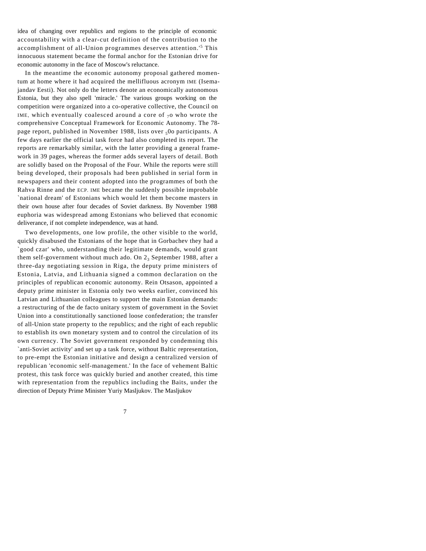idea of changing over republics and regions to the principle of economic accountability with a clear-cut definition of the contribution to the accomplishment of all-Union programmes deserves attention.'<sup>5</sup> This innocuous statement became the formal anchor for the Estonian drive for economic autonomy in the face of Moscow's reluctance.

In the meantime the economic autonomy proposal gathered momentum at home where it had acquired the mellifluous acronym IME (Isemajandav Eesti). Not only do the letters denote an economically autonomous Estonia, but they also spell 'miracle.' The various groups working on the competition were organized into a co-operative collective, the Council on IME, which eventually coalesced around a core of  $_7$ o who wrote the comprehensive Conceptual Framework for Economic Autonomy. The 78 page report, published in November 1988, lists over 500 participants. A few days earlier the official task force had also completed its report. The reports are remarkably similar, with the latter providing a general framework in 39 pages, whereas the former adds several layers of detail. Both are solidly based on the Proposal of the Four. While the reports were still being developed, their proposals had been published in serial form in newspapers and their content adopted into the programmes of both the Rahva Rinne and the ECP. IME became the suddenly possible improbable `national dream' of Estonians which would let them become masters in their own house after four decades of Soviet darkness. By November 1988 euphoria was widespread among Estonians who believed that economic deliverance, if not complete independence, was at hand.

Two developments, one low profile, the other visible to the world, quickly disabused the Estonians of the hope that in Gorbachev they had a `good czar' who, understanding their legitimate demands, would grant them self-government without much ado. On  $2<sub>3</sub>$  September 1988, after a three-day negotiating session in Riga, the deputy prime ministers of Estonia, Latvia, and Lithuania signed a common declaration on the principles of republican economic autonomy. Rein Otsason, appointed a deputy prime minister in Estonia only two weeks earlier, convinced his Latvian and Lithuanian colleagues to support the main Estonian demands: a restructuring of the de facto unitary system of government in the Soviet Union into a constitutionally sanctioned loose confederation; the transfer of all-Union state property to the republics; and the right of each republic to establish its own monetary system and to control the circulation of its own currency. The Soviet government responded by condemning this `anti-Soviet activity' and set up a task force, without Baltic representation, to pre-empt the Estonian initiative and design a centralized version of republican 'economic self-management.' In the face of vehement Baltic protest, this task force was quickly buried and another created, this time with representation from the republics including the Baits, under the direction of Deputy Prime Minister Yuriy Masljukov. The Masljukov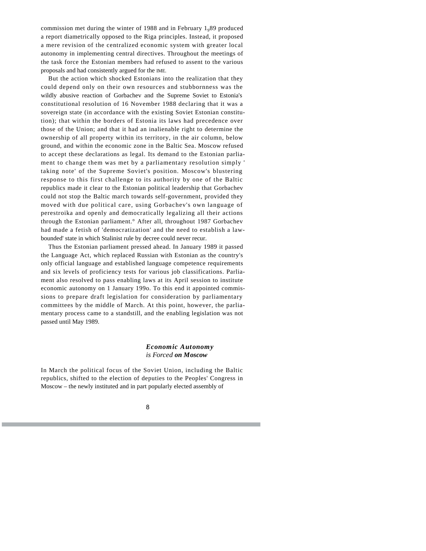commission met during the winter of 1988 and in February  $1_989$  produced a report diametrically opposed to the Riga principles. Instead, it proposed a mere revision of the centralized economic system with greater local autonomy in implementing central directives. Throughout the meetings of the task force the Estonian members had refused to assent to the various proposals and had consistently argued for the IME.

But the action which shocked Estonians into the realization that they could depend only on their own resources and stubbornness was the wildly abusive reaction of Gorbachev and the Supreme Soviet to Estonia's constitutional resolution of 16 November 1988 declaring that it was a sovereign state (in accordance with the existing Soviet Estonian constitution); that within the borders of Estonia its laws had precedence over those of the Union; and that it had an inalienable right to determine the ownership of all property within its territory, in the air column, below ground, and within the economic zone in the Baltic Sea. Moscow refused to accept these declarations as legal. Its demand to the Estonian parliament to change them was met by a parliamentary resolution simply ' taking note' of the Supreme Soviet's position. Moscow's blustering response to this first challenge to its authority by one of the Baltic republics made it clear to the Estonian political leadership that Gorbachev could not stop the Baltic march towards self-government, provided they moved with due political care, using Gorbachev's own language of perestroika and openly and democratically legalizing all their actions through the Estonian parliament.° After all, throughout 1987 Gorbachev had made a fetish of 'democratization' and the need to establish a lawbounded' state in which Stalinist rule by decree could never recur.

Thus the Estonian parliament pressed ahead. In January 1989 it passed the Language Act, which replaced Russian with Estonian as the country's only official language and established language competence requirements and six levels of proficiency tests for various job classifications. Parliament also resolved to pass enabling laws at its April session to institute economic autonomy on 1 January 199o. To this end it appointed commissions to prepare draft legislation for consideration by parliamentary committees by the middle of March. At this point, however, the parliamentary process came to a standstill, and the enabling legislation was not passed until May 1989.

#### *Economic Autonomy is Forced on Moscow*

In March the political focus of the Soviet Union, including the Baltic republics, shifted to the election of deputies to the Peoples' Congress in Moscow – the newly instituted and in part popularly elected assembly of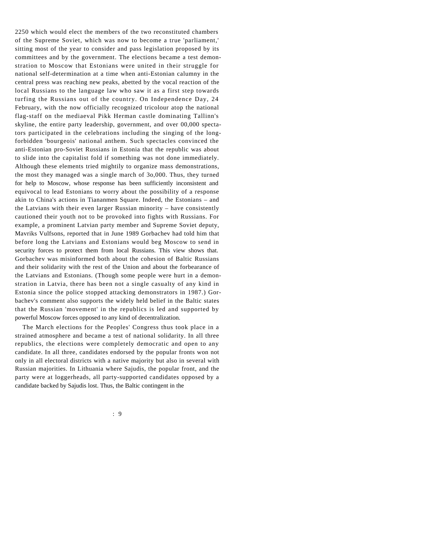2250 which would elect the members of the two reconstituted chambers of the Supreme Soviet, which was now to become a true 'parliament,' sitting most of the year to consider and pass legislation proposed by its committees and by the government. The elections became a test demonstration to Moscow that Estonians were united in their struggle for national self-determination at a time when anti-Estonian calumny in the central press was reaching new peaks, abetted by the vocal reaction of the local Russians to the language law who saw it as a first step towards turfing the Russians out of the country. On Independence Day, 24 February, with the now officially recognized tricolour atop the national flag-staff on the mediaeval Pikk Herman castle dominating Tallinn's skyline, the entire party leadership, government, and over 00,000 spectators participated in the celebrations including the singing of the longforbidden 'bourgeois' national anthem. Such spectacles convinced the anti-Estonian pro-Soviet Russians in Estonia that the republic was about to slide into the capitalist fold if something was not done immediately. Although these elements tried mightily to organize mass demonstrations, the most they managed was a single march of 3o,000. Thus, they turned for help to Moscow, whose response has been sufficiently inconsistent and equivocal to lead Estonians to worry about the possibility of a response akin to China's actions in Tiananmen Square. Indeed, the Estonians – and the Latvians with their even larger Russian minority – have consistently cautioned their youth not to be provoked into fights with Russians. For example, a prominent Latvian party member and Supreme Soviet deputy, Mavriks Vulfsons, reported that in June 1989 Gorbachev had told him that before long the Latvians and Estonians would beg Moscow to send in security forces to protect them from local Russians. This view shows that. Gorbachev was misinformed both about the cohesion of Baltic Russians and their solidarity with the rest of the Union and about the forbearance of the Latvians and Estonians. (Though some people were hurt in a demonstration in Latvia, there has been not a single casualty of any kind in Estonia since the police stopped attacking demonstrators in 1987.) Gorbachev's comment also supports the widely held belief in the Baltic states that the Russian 'movement' in the republics is led and supported by powerful Moscow forces opposed to any kind of decentralization.

The March elections for the Peoples' Congress thus took place in a strained atmosphere and became a test of national solidarity. In all three republics, the elections were completely democratic and open to any candidate. In all three, candidates endorsed by the popular fronts won not only in all electoral districts with a native majority but also in several with Russian majorities. In Lithuania where Sajudis, the popular front, and the party were at loggerheads, all party-supported candidates opposed by a candidate backed by Sajudis lost. Thus, the Baltic contingent in the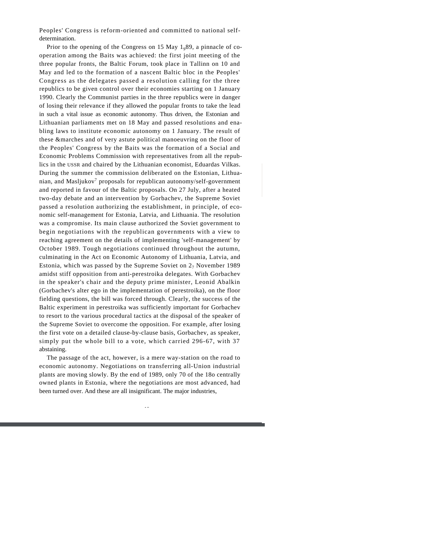Peoples' Congress is reform-oriented and committed to national selfdetermination.

Prior to the opening of the Congress on 15 May  $1<sub>0</sub>89$ , a pinnacle of cooperation among the Baits was achieved: the first joint meeting of the three popular fronts, the Baltic Forum, took place in Tallinn on 10 and May and led to the formation of a nascent Baltic bloc in the Peoples' Congress as the delegates passed a resolution calling for the three republics to be given control over their economies starting on 1 January 1990. Clearly the Communist parties in the three republics were in danger of losing their relevance if they allowed the popular fronts to take the lead in such a vital issue as economic autonomy. Thus driven, the Estonian and Lithuanian parliaments met on 18 May and passed resolutions and enabling laws to institute economic autonomy on 1 January. The result of these &marches and of very astute political manoeuvring on the floor of the Peoples' Congress by the Baits was the formation of a Social and Economic Problems Commission with representatives from all the republics in the USSR and chaired by the Lithuanian economist, Eduardas Vilkas. During the summer the commission deliberated on the Estonian, Lithuanian, and Masliukov<sup>7</sup> proposals for republican autonomy/self-government and reported in favour of the Baltic proposals. On 27 July, after a heated two-day debate and an intervention by Gorbachev, the Supreme Soviet passed a resolution authorizing the establishment, in principle, of economic self-management for Estonia, Latvia, and Lithuania. The resolution was a compromise. Its main clause authorized the Soviet government to begin negotiations with the republican governments with a view to reaching agreement on the details of implementing 'self-management' by October 1989. Tough negotiations continued throughout the autumn, culminating in the Act on Economic Autonomy of Lithuania, Latvia, and Estonia, which was passed by the Supreme Soviet on  $2<sub>7</sub>$  November 1989 amidst stiff opposition from anti-perestroika delegates. With Gorbachev in the speaker's chair and the deputy prime minister, Leonid Abalkin (Gorbachev's alter ego in the implementation of perestroika), on the floor fielding questions, the bill was forced through. Clearly, the success of the Baltic experiment in perestroika was sufficiently important for Gorbachev to resort to the various procedural tactics at the disposal of the speaker of the Supreme Soviet to overcome the opposition. For example, after losing the first vote on a detailed clause-by-clause basis, Gorbachev, as speaker, simply put the whole bill to a vote, which carried 296-67, with 37 abstaining.

The passage of the act, however, is a mere way-station on the road to economic autonomy. Negotiations on transferring all-Union industrial plants are moving slowly. By the end of 1989, only 70 of the 18o centrally owned plants in Estonia, where the negotiations are most advanced, had been turned over. And these are all insignificant. The major industries,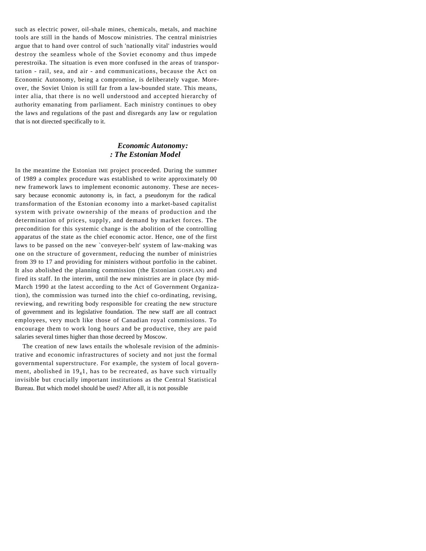such as electric power, oil-shale mines, chemicals, metals, and machine tools are still in the hands of Moscow ministries. The central ministries argue that to hand over control of such 'nationally vital' industries would destroy the seamless whole of the Soviet economy and thus impede perestroika. The situation is even more confused in the areas of transportation - rail, sea, and air - and communications, because the Act on Economic Autonomy, being a compromise, is deliberately vague. Moreover, the Soviet Union is still far from a law-bounded state. This means, inter alia, that there is no well understood and accepted hierarchy of authority emanating from parliament. Each ministry continues to obey the laws and regulations of the past and disregards any law or regulation that is not directed specifically to it.

#### *Economic Autonomy: : The Estonian Model*

In the meantime the Estonian IME project proceeded. During the summer of 1989 a complex procedure was established to write approximately 00 new framework laws to implement economic autonomy. These are necessary because economic autonomy is, in fact, a pseudonym for the radical transformation of the Estonian economy into a market-based capitalist system with private ownership of the means of production and the determination of prices, supply, and demand by market forces. The precondition for this systemic change is the abolition of the controlling apparatus of the state as the chief economic actor. Hence, one of the first laws to be passed on the new `conveyer-belt' system of law-making was one on the structure of government, reducing the number of ministries from 39 to 17 and providing for ministers without portfolio in the cabinet. It also abolished the planning commission (the Estonian GOSPLAN) and fired its staff. In the interim, until the new ministries are in place (by mid-March 1990 at the latest according to the Act of Government Organization), the commission was turned into the chief co-ordinating, revising, reviewing, and rewriting body responsible for creating the new structure of government and its legislative foundation. The new staff are all contract employees, very much like those of Canadian royal commissions. To encourage them to work long hours and be productive, they are paid salaries several times higher than those decreed by Moscow.

The creation of new laws entails the wholesale revision of the administrative and economic infrastructures of society and not just the formal governmental superstructure. For example, the system of local government, abolished in  $19<sub>4</sub>1$ , has to be recreated, as have such virtually invisible but crucially important institutions as the Central Statistical Bureau. But which model should be used? After all, it is not possible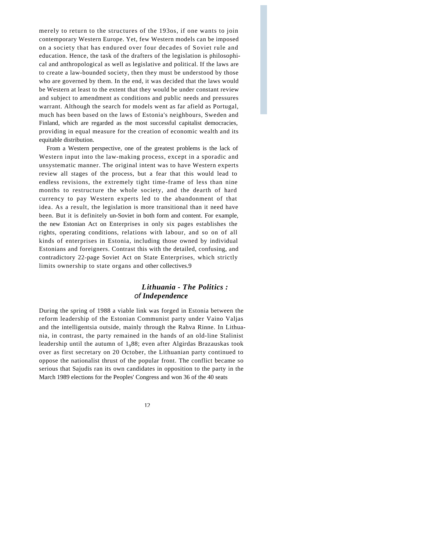merely to return to the structures of the 193os, if one wants to join contemporary Western Europe. Yet, few Western models can be imposed on a society that has endured over four decades of Soviet rule and education. Hence, the task of the drafters of the legislation is philosophical and anthropological as well as legislative and political. If the laws are to create a law-bounded society, then they must be understood by those who are governed by them. In the end, it was decided that the laws would be Western at least to the extent that they would be under constant review and subject to amendment as conditions and public needs and pressures warrant. Although the search for models went as far afield as Portugal, much has been based on the laws of Estonia's neighbours, Sweden and Finland, which are regarded as the most successful capitalist democracies, providing in equal measure for the creation of economic wealth and its equitable distribution.

From a Western perspective, one of the greatest problems is the lack of Western input into the law-making process, except in a sporadic and unsystematic manner. The original intent was to have Western experts review all stages of the process, but a fear that this would lead to endless revisions, the extremely tight time-frame of less than nine months to restructure the whole society, and the dearth of hard currency to pay Western experts led to the abandonment of that idea. As a result, the legislation is more transitional than it need have been. But it is definitely un-Soviet in both form and content. For example, the new Estonian Act on Enterprises in only six pages establishes the rights, operating conditions, relations with labour, and so on of all kinds of enterprises in Estonia, including those owned by individual Estonians and foreigners. Contrast this with the detailed, confusing, and contradictory 22-page Soviet Act on State Enterprises, which strictly limits ownership to state organs and other collectives.9

#### *Lithuania - The Politics : of Independence*

During the spring of 1988 a viable link was forged in Estonia between the reform leadership of the Estonian Communist party under Vaino Valjas and the intelligentsia outside, mainly through the Rahva Rinne. In Lithuania, in contrast, the party remained in the hands of an old-line Stalinist leadership until the autumn of  $1<sub>9</sub>88$ ; even after Algirdas Brazauskas took over as first secretary on 20 October, the Lithuanian party continued to oppose the nationalist thrust of the popular front. The conflict became so serious that Sajudis ran its own candidates in opposition to the party in the March 1989 elections for the Peoples' Congress and won 36 of the 40 seats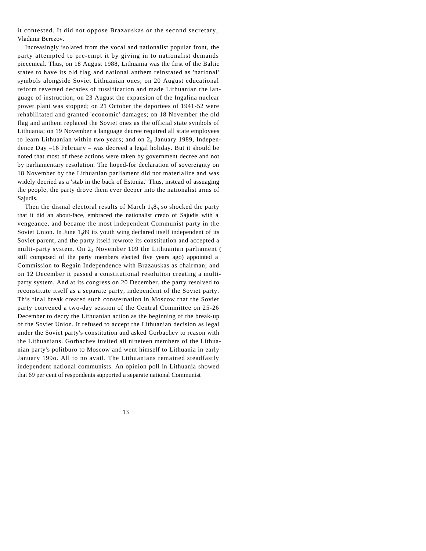it contested. It did not oppose Brazauskas or the second secretary, Vladimir Berezov.

Increasingly isolated from the vocal and nationalist popular front, the party attempted to pre-empt it by giving in to nationalist demands piecemeal. Thus, on 18 August 1988, Lithuania was the first of the Baltic states to have its old flag and national anthem reinstated as 'national' symbols alongside Soviet Lithuanian ones; on 20 August educational reform reversed decades of russification and made Lithuanian the language of instruction; on 23 August the expansion of the Ingalina nuclear power plant was stopped; on 21 October the deportees of 1941-52 were rehabilitated and granted 'economic' damages; on 18 November the old flag and anthem replaced the Soviet ones as the official state symbols of Lithuania; on 19 November a language decree required all state employees to learn Lithuanian within two years; and on  $2_5$  January 1989, Independence Day –16 February – was decreed a legal holiday. But it should be noted that most of these actions were taken by government decree and not by parliamentary resolution. The hoped-for declaration of sovereignty on 18 November by the Lithuanian parliament did not materialize and was widely decried as a 'stab in the back of Estonia.' Thus, instead of assuaging the people, the party drove them ever deeper into the nationalist arms of Sajudis.

Then the dismal electoral results of March  $1_98_9$  so shocked the party that it did an about-face, embraced the nationalist credo of Sajudis with a vengeance, and became the most independent Communist party in the Soviet Union. In June  $1<sub>9</sub>89$  its youth wing declared itself independent of its Soviet parent, and the party itself rewrote its constitution and accepted a multi-party system. On  $2<sub>4</sub>$  November 109 the Lithuanian parliament ( still composed of the party members elected five years ago) appointed a Commission to Regain Independence with Brazauskas as chairman; and on 12 December it passed a constitutional resolution creating a multiparty system. And at its congress on 20 December, the party resolved to reconstitute itself as a separate party, independent of the Soviet party. This final break created such consternation in Moscow that the Soviet party convened a two-day session of the Central Committee on 25-26 December to decry the Lithuanian action as the beginning of the break-up of the Soviet Union. It refused to accept the Lithuanian decision as legal under the Soviet party's constitution and asked Gorbachev to reason with the Lithuanians. Gorbachev invited all nineteen members of the Lithuanian party's politburo to Moscow and went himself to Lithuania in early January 199o. All to no avail. The Lithuanians remained steadfastly independent national communists. An opinion poll in Lithuania showed that 69 per cent of respondents supported a separate national Communist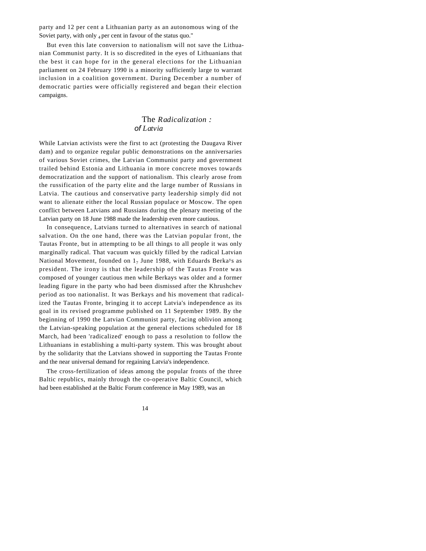party and 12 per cent a Lithuanian party as an autonomous wing of the Soviet party, with only  $_4$  per cent in favour of the status quo."

But even this late conversion to nationalism will not save the Lithuanian Communist party. It is so discredited in the eyes of Lithuanians that the best it can hope for in the general elections for the Lithuanian parliament on 24 February 1990 is a minority sufficiently large to warrant inclusion in a coalition government. During December a number of democratic parties were officially registered and began their election campaigns.

### The *Radicalization : of Latvia*

While Latvian activists were the first to act (protesting the Daugava River dam) and to organize regular public demonstrations on the anniversaries of various Soviet crimes, the Latvian Communist party and government trailed behind Estonia and Lithuania in more concrete moves towards democratization and the support of nationalism. This clearly arose from the russification of the party elite and the large number of Russians in Latvia. The cautious and conservative party leadership simply did not want to alienate either the local Russian populace or Moscow. The open conflict between Latvians and Russians during the plenary meeting of the Latvian party on 18 June 1988 made the leadership even more cautious.

In consequence, Latvians turned to alternatives in search of national salvation. On the one hand, there was the Latvian popular front, the Tautas Fronte, but in attempting to be all things to all people it was only marginally radical. That vacuum was quickly filled by the radical Latvian National Movement, founded on  $1<sub>7</sub>$  June 1988, with Eduards Berka<sup>y</sup>s as president. The irony is that the leadership of the Tautas Fronte was composed of younger cautious men while Berkays was older and a former leading figure in the party who had been dismissed after the Khrushchev period as too nationalist. It was Berkays and his movement that radicalized the Tautas Fronte, bringing it to accept Latvia's independence as its goal in its revised programme published on 11 September 1989. By the beginning of 1990 the Latvian Communist party, facing oblivion among the Latvian-speaking population at the general elections scheduled for 18 March, had been 'radicalized' enough to pass a resolution to follow the Lithuanians in establishing a multi-party system. This was brought about by the solidarity that the Latvians showed in supporting the Tautas Fronte and the near universal demand for regaining Latvia's independence.

The cross-fertilization of ideas among the popular fronts of the three Baltic republics, mainly through the co-operative Baltic Council, which had been established at the Baltic Forum conference in May 1989, was an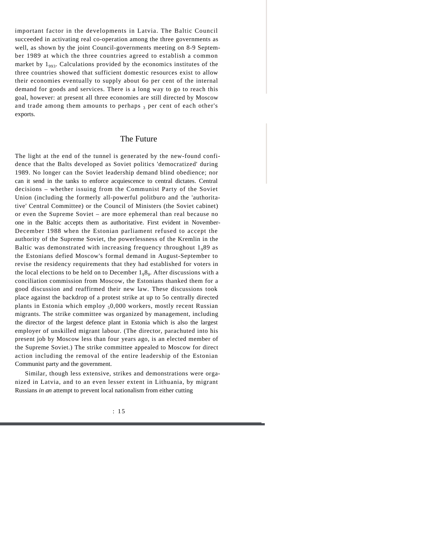important factor in the developments in Latvia. The Baltic Council succeeded in activating real co-operation among the three governments as well, as shown by the joint Council-governments meeting on 8-9 September 1989 at which the three countries agreed to establish a common market by  $1_{.02}$ . Calculations provided by the economics institutes of the three countries showed that sufficient domestic resources exist to allow their economies eventually to supply about 6o per cent of the internal demand for goods and services. There is a long way to go to reach this goal, however: at present all three economies are still directed by Moscow and trade among them amounts to perhaps  $_3$  per cent of each other's exports.

#### The Future

The light at the end of the tunnel is generated by the new-found confidence that the Balts developed as Soviet politics 'democratized' during 1989. No longer can the Soviet leadership demand blind obedience; nor can it send in the tanks to enforce acquiescence to central dictates. Central decisions – whether issuing from the Communist Party of the Soviet Union (including the formerly all-powerful politburo and the 'authoritative' Central Committee) or the Council of Ministers (the Soviet cabinet) or even the Supreme Soviet – are more ephemeral than real because no one in the Baltic accepts them as authoritative. First evident in November-December 1988 when the Estonian parliament refused to accept the authority of the Supreme Soviet, the powerlessness of the Kremlin in the Baltic was demonstrated with increasing frequency throughout  $1_989$  as the Estonians defied Moscow's formal demand in August-September to revise the residency requirements that they had established for voters in the local elections to be held on to December  $1_98_9$ . After discussions with a conciliation commission from Moscow, the Estonians thanked them for a good discussion and reaffirmed their new law. These discussions took place against the backdrop of a protest strike at up to 5o centrally directed plants in Estonia which employ  $<sub>5</sub>0,000$  workers, mostly recent Russian</sub> migrants. The strike committee was organized by management, including the director of the largest defence plant in Estonia which is also the largest employer of unskilled migrant labour. (The director, parachuted into his present job by Moscow less than four years ago, is an elected member of the Supreme Soviet.) The strike committee appealed to Moscow for direct action including the removal of the entire leadership of the Estonian Communist party and the government.

Similar, though less extensive, strikes and demonstrations were organized in Latvia, and to an even lesser extent in Lithuania, by migrant Russians *in an* attempt to prevent local nationalism from either cutting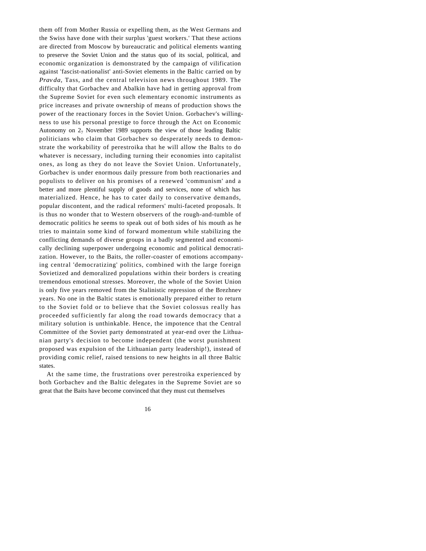them off from Mother Russia or expelling them, as the West Germans and the Swiss have done with their surplus 'guest workers.' That these actions are directed from Moscow by bureaucratic and political elements wanting to preserve the Soviet Union and the status quo of its social, political, and economic organization is demonstrated by the campaign of vilification against 'fascist-nationalist' anti-Soviet elements in the Baltic carried on by *Pravda,* Tass, and the central television news throughout 1989. The difficulty that Gorbachev and Abalkin have had in getting approval from the Supreme Soviet for even such elementary economic instruments as price increases and private ownership of means of production shows the power of the reactionary forces in the Soviet Union. Gorbachev's willingness to use his personal prestige to force through the Act on Economic Autonomy on  $2<sub>7</sub>$  November 1989 supports the view of those leading Baltic politicians who claim that Gorbachev so desperately needs to demonstrate the workability of perestroika that he will allow the Balts to do whatever is necessary, including turning their economies into capitalist ones, as long as they do not leave the Soviet Union. Unfortunately, Gorbachev is under enormous daily pressure from both reactionaries and populists to deliver on his promises of a renewed 'communism' and a better and more plentiful supply of goods and services, none of which has materialized. Hence, he has to cater daily to conservative demands, popular discontent, and the radical reformers' multi-faceted proposals. It is thus no wonder that to Western observers of the rough-and-tumble of democratic politics he seems to speak out of both sides of his mouth as he tries to maintain some kind of forward momentum while stabilizing the conflicting demands of diverse groups in a badly segmented and economically declining superpower undergoing economic and political democratization. However, to the Baits, the roller-coaster of emotions accompanying central 'democratizing' politics, combined with the large foreign Sovietized and demoralized populations within their borders is creating tremendous emotional stresses. Moreover, the whole of the Soviet Union is only five years removed from the Stalinistic repression of the Brezhnev years. No one in the Baltic states is emotionally prepared either to return to the Soviet fold or to believe that the Soviet colossus really has proceeded sufficiently far along the road towards democracy that a military solution is unthinkable. Hence, the impotence that the Central Committee of the Soviet party demonstrated at year-end over the Lithuanian party's decision to become independent (the worst punishment proposed was expulsion of the Lithuanian party leadership!), instead of providing comic relief, raised tensions to new heights in all three Baltic states.

At the same time, the frustrations over perestroika experienced by both Gorbachev and the Baltic delegates in the Supreme Soviet are so great that the Baits have become convinced that they must cut themselves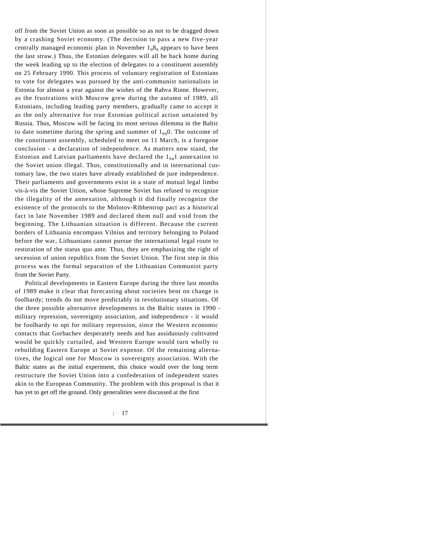off from the Soviet Union as soon as possible so as not to be dragged down by a crashing Soviet economy. (The decision to pass a new five-year centrally managed economic plan in November  $1<sub>9</sub>8<sub>9</sub>$  appears to have been the last straw.) Thus, the Estonian delegates will all be back home during the week leading up to the election of delegates to a constituent assembly on 25 February 1990. This process of voluntary registration of Estonians to vote for delegates was pursued by the anti-communist nationalists in Estonia for almost a year against the wishes of the Rahva Rinne. However, as the frustrations with Moscow grew during the autumn of 1989, all Estonians, including leading party members, gradually came to accept it as the only alternative for true Estonian political action untainted by Russia. Thus, Moscow will be facing its most serious dilemma in the Baltic to date sometime during the spring and summer of  $1_{99}$ . The outcome of the constituent assembly, scheduled to meet on 11 March, is a foregone conclusion - a declaration of independence. As matters now stand, the Estonian and Latvian parliaments have declared the  $1_{94}1$  annexation to the Soviet union illegal. Thus, constitutionally and in international customary law, the two states have already established de jure independence. Their parliaments and governments exist in a state of mutual legal limbo vis-à-vis the Soviet Union, whose Supreme Soviet has refused to recognize the illegality of the annexation, although it did finally recognize the existence of the protocols to the Molotov-Ribbentrop pact as a historical fact in late November 1989 and declared them null and void from the beginning. The Lithuanian situation is different. Because the current borders of Lithuania encompass Vilnius and territory belonging to Poland before the war, Lithuanians cannot pursue the international legal route to restoration of the status quo ante. Thus, they are emphasizing the right of secession of union republics from the Soviet Union. The first step in this process was the formal separation of the Lithuanian Communist party from the Soviet Party.

Political developments in Eastern Europe during the three last months of 1989 make it clear that forecasting about societies bent on change is foolhardy; trends do not move predictably in revolutionary situations. Of the three possible alternative developments in the Baltic states in 1990 military repression, sovereignty association, and independence - it would be foolhardy to opt for military repression, since the Western economic contacts that Gorbachev desperately needs and has assiduously cultivated would be quickly curtailed, and Western Europe would turn wholly to rebuilding Eastern Europe at Soviet expense. Of the remaining alternatives, the logical one for Moscow is sovereignty association. With the Baltic states as the initial experiment, this choice would over the long term restructure the Soviet Union into a confederation of independent states akin to the European Community. The problem with this proposal is that it has yet to get off the ground. Only generalities were discussed at the first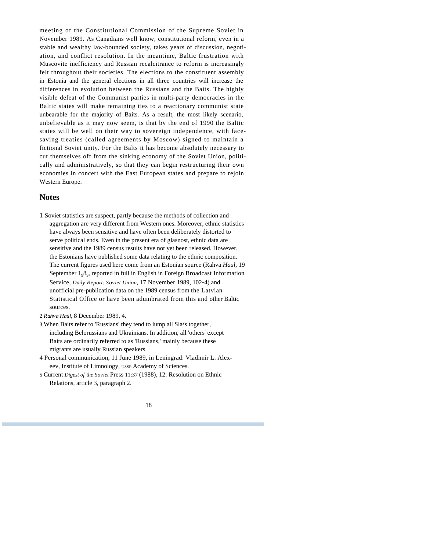meeting of the Constitutional Commission of the Supreme Soviet in November 1989. As Canadians well know, constitutional reform, even in a stable and wealthy law-bounded society, takes years of discussion, negotiation, and conflict resolution. In the meantime, Baltic frustration with Muscovite inefficiency and Russian recalcitrance to reform is increasingly felt throughout their societies. The elections to the constituent assembly in Estonia and the general elections in all three countries will increase the differences in evolution between the Russians and the Baits. The highly visible defeat of the Communist parties in multi-party democracies in the Baltic states will make remaining ties to a reactionary communist state unbearable for the majority of Baits. As a result, the most likely scenario, unbelievable as it may now seem, is that by the end of 1990 the Baltic states will be well on their way to sovereign independence, with facesaving treaties (called agreements by Moscow) signed to maintain a fictional Soviet unity. For the Balts it has become absolutely necessary to cut themselves off from the sinking economy of the Soviet Union, politically and administratively, so that they can begin restructuring their own economies in concert with the East European states and prepare to rejoin Western Europe.

#### **Notes**

- 1 Soviet statistics are suspect, partly because the methods of collection and aggregation are very different from Western ones. Moreover, ethnic statistics have always been sensitive and have often been deliberately distorted to serve political ends. Even in the present era of glasnost, ethnic data are sensitive and the 1989 census results have not yet been released. However, the Estonians have published some data relating to the ethnic composition. The current figures used here come from an Estonian source (Rahva *Haul,* 19 September 1<sub>9</sub>8<sub>9</sub>, reported in full in English in Foreign Broadcast Information Service, *Daily Report: Soviet Union,* 17 November 1989, 102-4) and unofficial pre-publication data on the 1989 census from the Latvian Statistical Office or have been adumbrated from this and other Baltic sources.
- 2 *Rahva Haul,* 8 December 1989, 4.
- 3 When Baits refer to 'Russians' they tend to lump all Sla<sup>y</sup>s together, including Belorussians and Ukrainians. In addition, all 'others' except Baits are ordinarily referred to as 'Russians,' mainly because these migrants are usually Russian speakers.
- 4 Personal communication, 11 June 1989, in Leningrad: Vladimir L. Alexeev, Institute of Limnology, USSR Academy of Sciences.
- 5 Current *Digest of the Soviet* Press 11:37 (1988), 12: Resolution on Ethnic Relations, article 3, paragraph 2.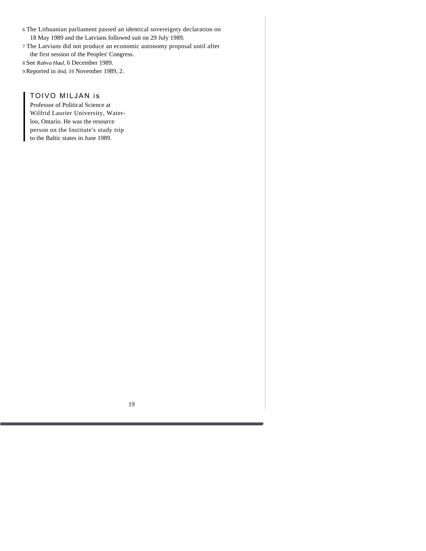- 6 The Lithuanian parliament passed an identical sovereignty declaration on 18 May 1989 and the Latvians followed suit on 29 July 1989.
- 7 The Latvians did not produce an economic autonomy proposal until after the first session of the Peoples' Congress.
- 8 See *Rahva Haul,* 6 December 1989.
- 9 Reported in *ibid, 16* November 1989, 2.

#### TOIVO MILJAN is

Professor of Political Science at Wilfrid Laurier University, Waterloo, Ontario. He was the resource person on the Institute's study trip to the Baltic states in June 1989.